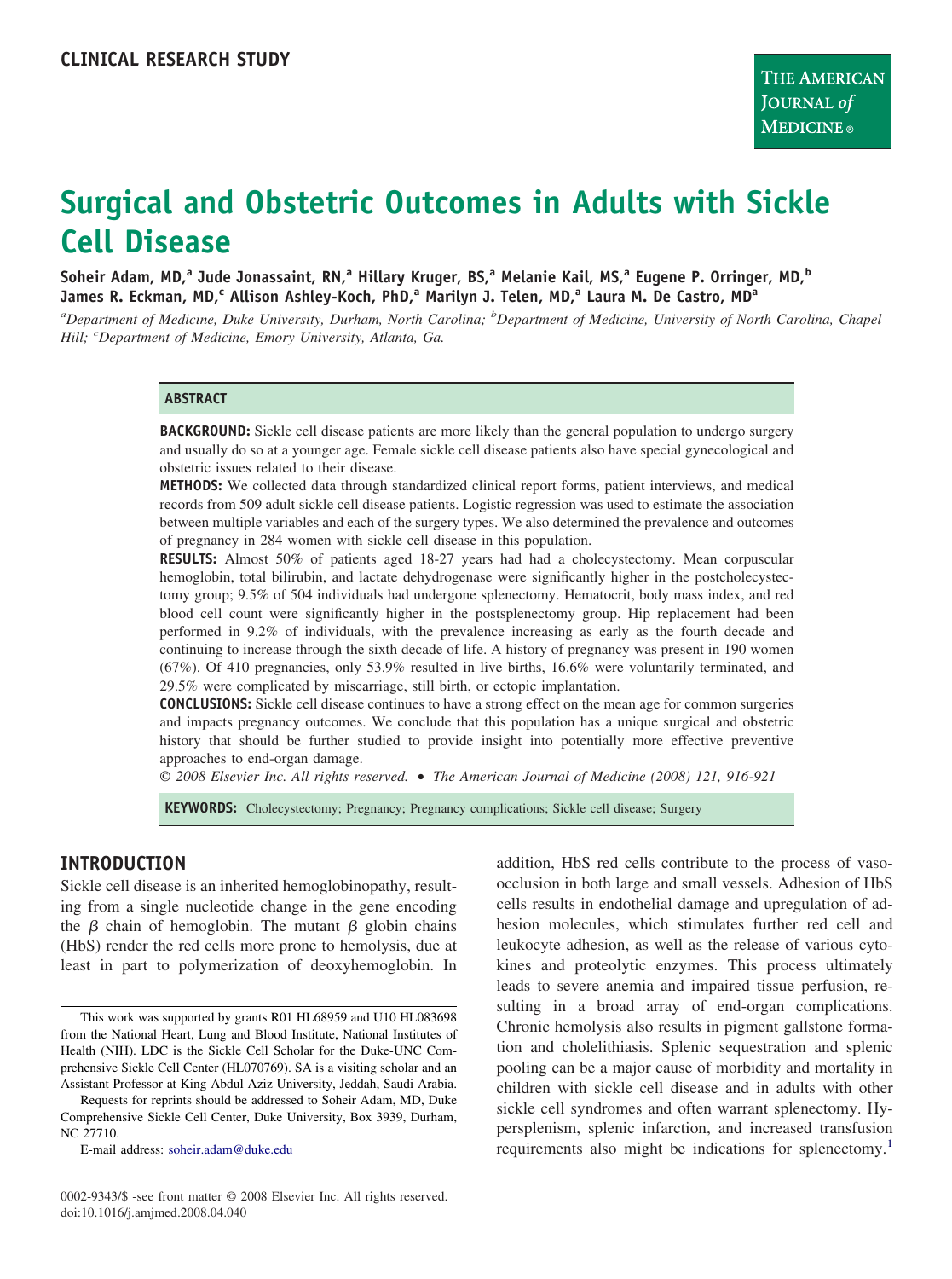# **Surgical and Obstetric Outcomes in Adults with Sickle Cell Disease**

Soheir Adam, MD,<sup>a</sup> Jude Jonassaint, RN,<sup>a</sup> Hillary Kruger, BS,<sup>a</sup> Melanie Kail, MS,<sup>a</sup> Eugene P. Orringer, MD,<sup>b</sup> James R. Eckman, MD,<sup>c</sup> Allison Ashley-Koch, PhD,<sup>a</sup> Marilyn J. Telen, MD,<sup>a</sup> Laura M. De Castro, MD<sup>a</sup>

<sup>a</sup>Department of Medicine, Duke University, Durham, North Carolina; <sup>b</sup>Department of Medicine, University of North Carolina, Chapel *Hill; <sup>c</sup> Department of Medicine, Emory University, Atlanta, Ga.*

## **ABSTRACT**

**BACKGROUND:** Sickle cell disease patients are more likely than the general population to undergo surgery and usually do so at a younger age. Female sickle cell disease patients also have special gynecological and obstetric issues related to their disease.

**METHODS:** We collected data through standardized clinical report forms, patient interviews, and medical records from 509 adult sickle cell disease patients. Logistic regression was used to estimate the association between multiple variables and each of the surgery types. We also determined the prevalence and outcomes of pregnancy in 284 women with sickle cell disease in this population.

**RESULTS:** Almost 50% of patients aged 18-27 years had had a cholecystectomy. Mean corpuscular hemoglobin, total bilirubin, and lactate dehydrogenase were significantly higher in the postcholecystectomy group; 9.5% of 504 individuals had undergone splenectomy. Hematocrit, body mass index, and red blood cell count were significantly higher in the postsplenectomy group. Hip replacement had been performed in 9.2% of individuals, with the prevalence increasing as early as the fourth decade and continuing to increase through the sixth decade of life. A history of pregnancy was present in 190 women (67%). Of 410 pregnancies, only 53.9% resulted in live births, 16.6% were voluntarily terminated, and 29.5% were complicated by miscarriage, still birth, or ectopic implantation.

**CONCLUSIONS:** Sickle cell disease continues to have a strong effect on the mean age for common surgeries and impacts pregnancy outcomes. We conclude that this population has a unique surgical and obstetric history that should be further studied to provide insight into potentially more effective preventive approaches to end-organ damage.

*© 2008 Elsevier Inc. All rights reserved.* • *The American Journal of Medicine (2008) 121, 916-921*

**KEYWORDS:** Cholecystectomy; Pregnancy; Pregnancy complications; Sickle cell disease; Surgery

# **INTRODUCTION**

Sickle cell disease is an inherited hemoglobinopathy, resulting from a single nucleotide change in the gene encoding the  $\beta$  chain of hemoglobin. The mutant  $\beta$  globin chains (HbS) render the red cells more prone to hemolysis, due at least in part to polymerization of deoxyhemoglobin. In

Requests for reprints should be addressed to Soheir Adam, MD, Duke Comprehensive Sickle Cell Center, Duke University, Box 3939, Durham, NC 27710.

E-mail address: [soheir.adam@duke.edu](mailto:soheir.adam@duke.edu)

addition, HbS red cells contribute to the process of vasoocclusion in both large and small vessels. Adhesion of HbS cells results in endothelial damage and upregulation of adhesion molecules, which stimulates further red cell and leukocyte adhesion, as well as the release of various cytokines and proteolytic enzymes. This process ultimately leads to severe anemia and impaired tissue perfusion, resulting in a broad array of end-organ complications. Chronic hemolysis also results in pigment gallstone formation and cholelithiasis. Splenic sequestration and splenic pooling can be a major cause of morbidity and mortality in children with sickle cell disease and in adults with other sickle cell syndromes and often warrant splenectomy. Hypersplenism, splenic infarction, and increased transfusion requirements also might be indications for splenectomy.<sup>[1](#page-4-0)</sup>

This work was supported by grants R01 HL68959 and U10 HL083698 from the National Heart, Lung and Blood Institute, National Institutes of Health (NIH). LDC is the Sickle Cell Scholar for the Duke-UNC Comprehensive Sickle Cell Center (HL070769). SA is a visiting scholar and an Assistant Professor at King Abdul Aziz University, Jeddah, Saudi Arabia.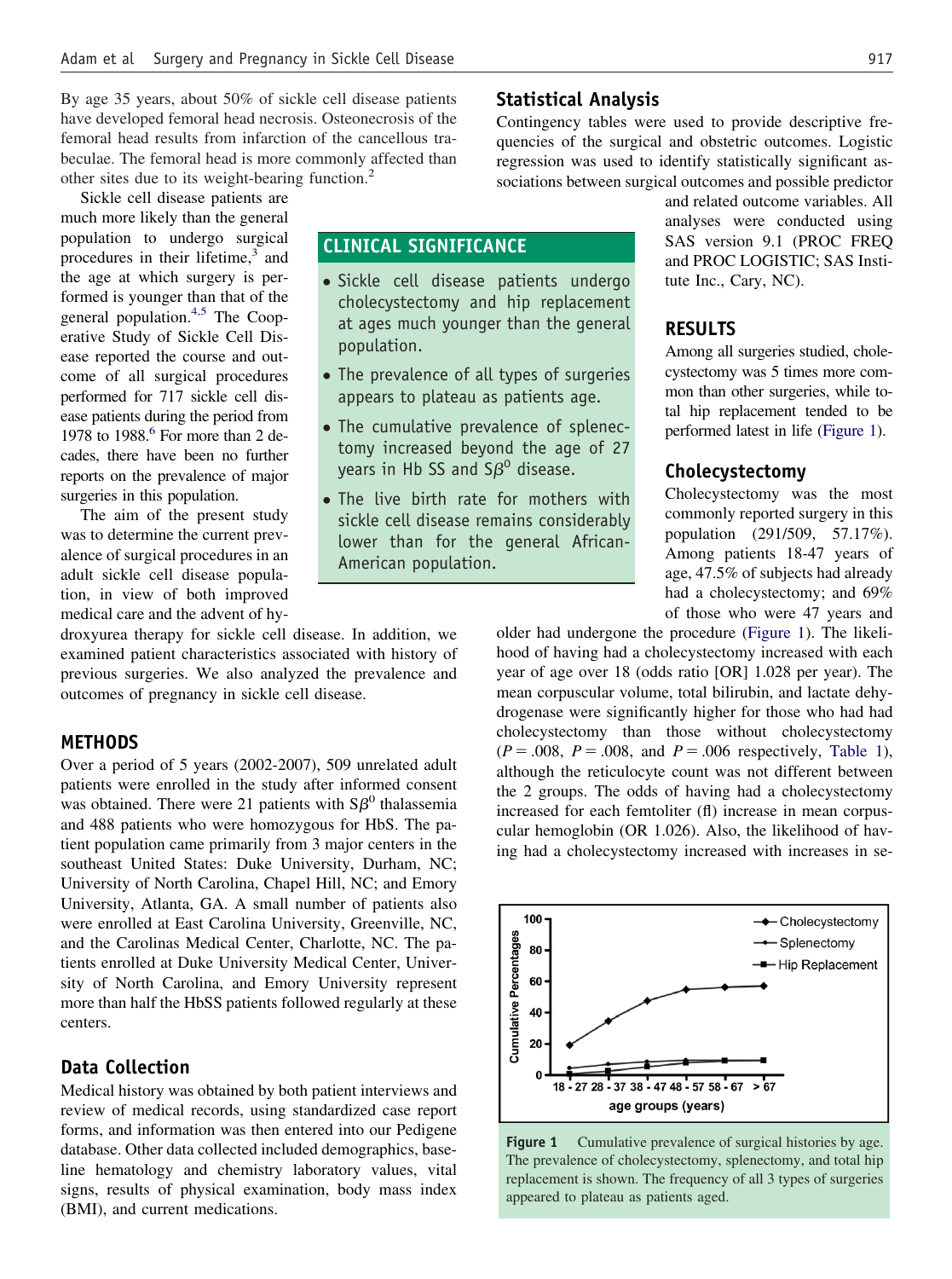<span id="page-1-0"></span>By age 35 years, about 50% of sickle cell disease patients have developed femoral head necrosis. Osteonecrosis of the femoral head results from infarction of the cancellous trabeculae. The femoral head is more commonly affected than other sites due to its weight-bearing function.<sup>[2](#page-4-0)</sup>

Sickle cell disease patients are much more likely than the general population to undergo surgical procedures in their lifetime, $3$  and the age at which surgery is performed is younger than that of the general population.[4,5](#page-4-0) The Cooperative Study of Sickle Cell Disease reported the course and outcome of all surgical procedures performed for 717 sickle cell disease patients during the period from 1978 to  $1988<sup>6</sup>$  For more than 2 decades, there have been no further reports on the prevalence of major surgeries in this population.

The aim of the present study was to determine the current prevalence of surgical procedures in an adult sickle cell disease population, in view of both improved medical care and the advent of hy-

droxyurea therapy for sickle cell disease. In addition, we examined patient characteristics associated with history of previous surgeries. We also analyzed the prevalence and outcomes of pregnancy in sickle cell disease.

## **METHODS**

Over a period of 5 years (2002-2007), 509 unrelated adult patients were enrolled in the study after informed consent was obtained. There were 21 patients with  $S\beta^0$  thalassemia and 488 patients who were homozygous for HbS. The patient population came primarily from 3 major centers in the southeast United States: Duke University, Durham, NC; University of North Carolina, Chapel Hill, NC; and Emory University, Atlanta, GA. A small number of patients also were enrolled at East Carolina University, Greenville, NC, and the Carolinas Medical Center, Charlotte, NC. The patients enrolled at Duke University Medical Center, University of North Carolina, and Emory University represent more than half the HbSS patients followed regularly at these centers.

# **Data Collection**

Medical history was obtained by both patient interviews and review of medical records, using standardized case report forms, and information was then entered into our Pedigene database. Other data collected included demographics, baseline hematology and chemistry laboratory values, vital signs, results of physical examination, body mass index (BMI), and current medications.

# **Statistical Analysis**

**CLINICAL SIGNIFICANCE**

population.

● Sickle cell disease patients undergo cholecystectomy and hip replacement at ages much younger than the general

• The prevalence of all types of surgeries appears to plateau as patients age. ● The cumulative prevalence of splenectomy increased beyond the age of 27

• The live birth rate for mothers with sickle cell disease remains considerably lower than for the general African-

years in Hb SS and  $S\beta^0$  disease.

American population.

Contingency tables were used to provide descriptive frequencies of the surgical and obstetric outcomes. Logistic regression was used to identify statistically significant associations between surgical outcomes and possible predictor

> and related outcome variables. All analyses were conducted using SAS version 9.1 (PROC FREQ and PROC LOGISTIC; SAS Institute Inc., Cary, NC).

#### **RESULTS**

Among all surgeries studied, cholecystectomy was 5 times more common than other surgeries, while total hip replacement tended to be performed latest in life (Figure 1).

## **Cholecystectomy**

Cholecystectomy was the most commonly reported surgery in this population (291/509, 57.17%). Among patients 18-47 years of age, 47.5% of subjects had already had a cholecystectomy; and 69% of those who were 47 years and

older had undergone the procedure (Figure 1). The likelihood of having had a cholecystectomy increased with each year of age over 18 (odds ratio [OR] 1.028 per year). The mean corpuscular volume, total bilirubin, and lactate dehydrogenase were significantly higher for those who had had cholecystectomy than those without cholecystectomy  $(P = .008, P = .008, \text{ and } P = .006$  respectively, [Table 1\)](#page-2-0), although the reticulocyte count was not different between the 2 groups. The odds of having had a cholecystectomy increased for each femtoliter (fl) increase in mean corpuscular hemoglobin (OR 1.026). Also, the likelihood of having had a cholecystectomy increased with increases in se-



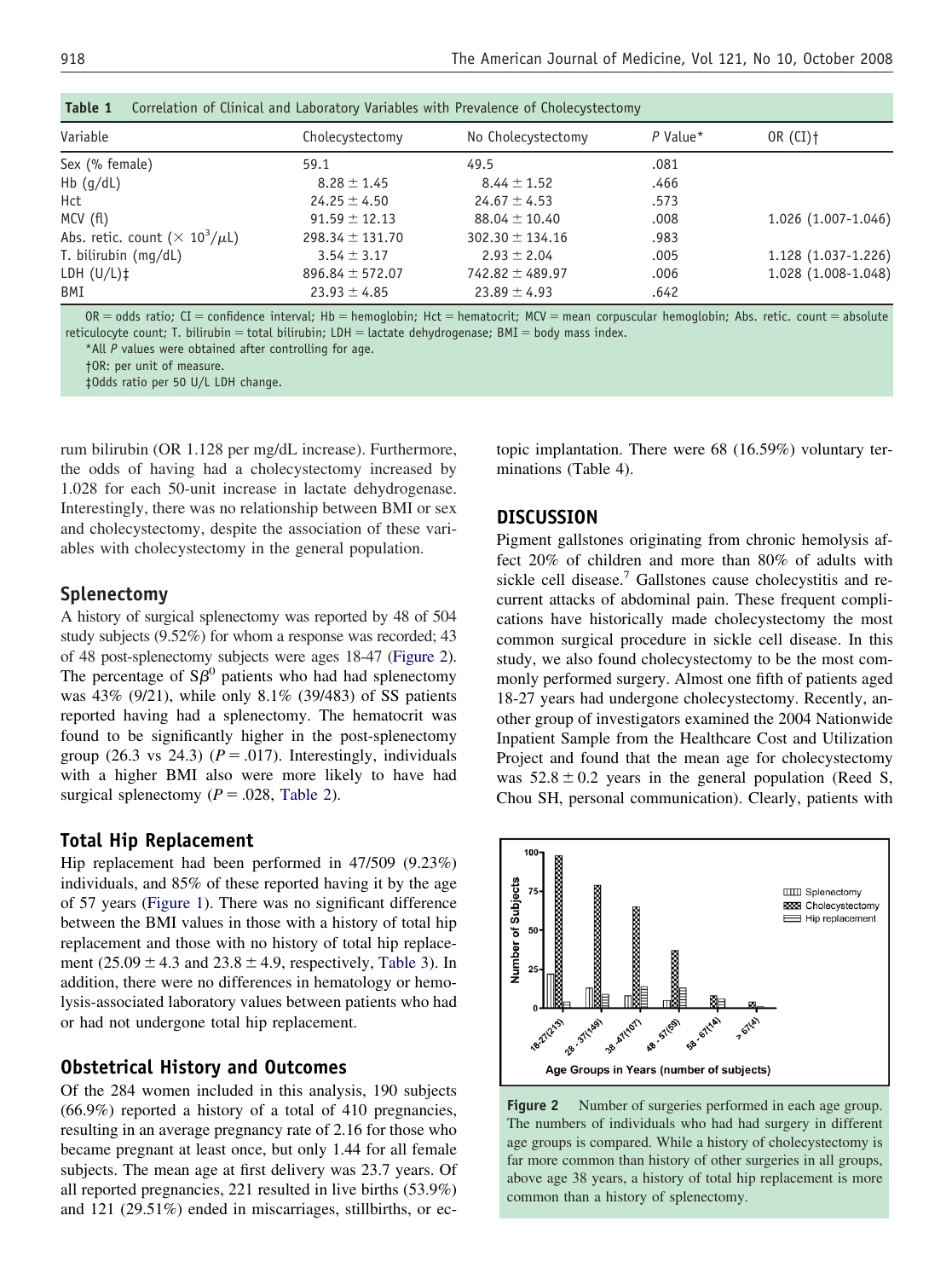| Variable                                | Cholecystectomy     | No Cholecystectomy  | $P$ Value* | OR $(CI)$ <sup>+</sup> |  |
|-----------------------------------------|---------------------|---------------------|------------|------------------------|--|
| Sex (% female)                          | 59.1                | 49.5                | .081       |                        |  |
| $Hb$ (g/dL)                             | $8.28 \pm 1.45$     | $8.44 \pm 1.52$     | .466       |                        |  |
| Hct.                                    | $24.25 \pm 4.50$    | $24.67 \pm 4.53$    | .573       |                        |  |
| MCV (fl)                                | $91.59 \pm 12.13$   | $88.04 \pm 10.40$   | .008       | 1.026 (1.007-1.046)    |  |
| Abs. retic. count $(\times 10^3/\mu L)$ | $298.34 \pm 131.70$ | $302.30 \pm 134.16$ | .983       |                        |  |
| T. bilirubin (mq/dL)                    | $3.54 \pm 3.17$     | $2.93 \pm 2.04$     | .005       | 1.128 (1.037-1.226)    |  |
| LDH $(U/L)$ <sup>+</sup>                | $896.84 \pm 572.07$ | $742.82 \pm 489.97$ | .006       | 1.028 (1.008-1.048)    |  |
| BMI                                     | $23.93 \pm 4.85$    | $23.89 \pm 4.93$    | .642       |                        |  |
|                                         |                     |                     |            |                        |  |

<span id="page-2-0"></span>**Table 1** Correlation of Clinical and Laboratory Variables with Prevalence of Cholecystectomy

 $OR =$  odds ratio;  $CI =$  confidence interval;  $Hb =$  hemoglobin;  $Hct =$  hematocrit;  $MCV =$  mean corpuscular hemoglobin; Abs. retic. count = absolute reticulocyte count; T. bilirubin = total bilirubin; LDH = lactate dehydrogenase; BMI = body mass index.

\*All *P* values were obtained after controlling for age.

†OR: per unit of measure.

‡Odds ratio per 50 U/L LDH change.

rum bilirubin (OR 1.128 per mg/dL increase). Furthermore, the odds of having had a cholecystectomy increased by 1.028 for each 50-unit increase in lactate dehydrogenase. Interestingly, there was no relationship between BMI or sex and cholecystectomy, despite the association of these variables with cholecystectomy in the general population.

#### **Splenectomy**

A history of surgical splenectomy was reported by 48 of 504 study subjects (9.52%) for whom a response was recorded; 43 of 48 post-splenectomy subjects were ages 18-47 (Figure 2). The percentage of  $S\beta^0$  patients who had had splenectomy was 43% (9/21), while only 8.1% (39/483) of SS patients reported having had a splenectomy. The hematocrit was found to be significantly higher in the post-splenectomy group (26.3 vs 24.3)  $(P = .017)$ . Interestingly, individuals with a higher BMI also were more likely to have had surgical splenectomy  $(P = .028,$  [Table 2\)](#page-3-0).

## **Total Hip Replacement**

Hip replacement had been performed in 47/509 (9.23%) individuals, and 85% of these reported having it by the age of 57 years [\(Figure 1\)](#page-1-0). There was no significant difference between the BMI values in those with a history of total hip replacement and those with no history of total hip replacement  $(25.09 \pm 4.3 \text{ and } 23.8 \pm 4.9, \text{ respectively, Table 3).}$  $(25.09 \pm 4.3 \text{ and } 23.8 \pm 4.9, \text{ respectively, Table 3).}$  $(25.09 \pm 4.3 \text{ and } 23.8 \pm 4.9, \text{ respectively, Table 3).}$  In addition, there were no differences in hematology or hemolysis-associated laboratory values between patients who had or had not undergone total hip replacement.

#### **Obstetrical History and Outcomes**

Of the 284 women included in this analysis, 190 subjects (66.9%) reported a history of a total of 410 pregnancies, resulting in an average pregnancy rate of 2.16 for those who became pregnant at least once, but only 1.44 for all female subjects. The mean age at first delivery was 23.7 years. Of all reported pregnancies, 221 resulted in live births (53.9%) and 121 (29.51%) ended in miscarriages, stillbirths, or ectopic implantation. There were 68 (16.59%) voluntary terminations (Table 4).

## **DISCUSSION**

Pigment gallstones originating from chronic hemolysis affect 20% of children and more than 80% of adults with sickle cell disease.<sup>[7](#page-4-0)</sup> Gallstones cause cholecystitis and recurrent attacks of abdominal pain. These frequent complications have historically made cholecystectomy the most common surgical procedure in sickle cell disease. In this study, we also found cholecystectomy to be the most commonly performed surgery. Almost one fifth of patients aged 18-27 years had undergone cholecystectomy. Recently, another group of investigators examined the 2004 Nationwide Inpatient Sample from the Healthcare Cost and Utilization Project and found that the mean age for cholecystectomy was  $52.8 \pm 0.2$  years in the general population (Reed S, Chou SH, personal communication). Clearly, patients with



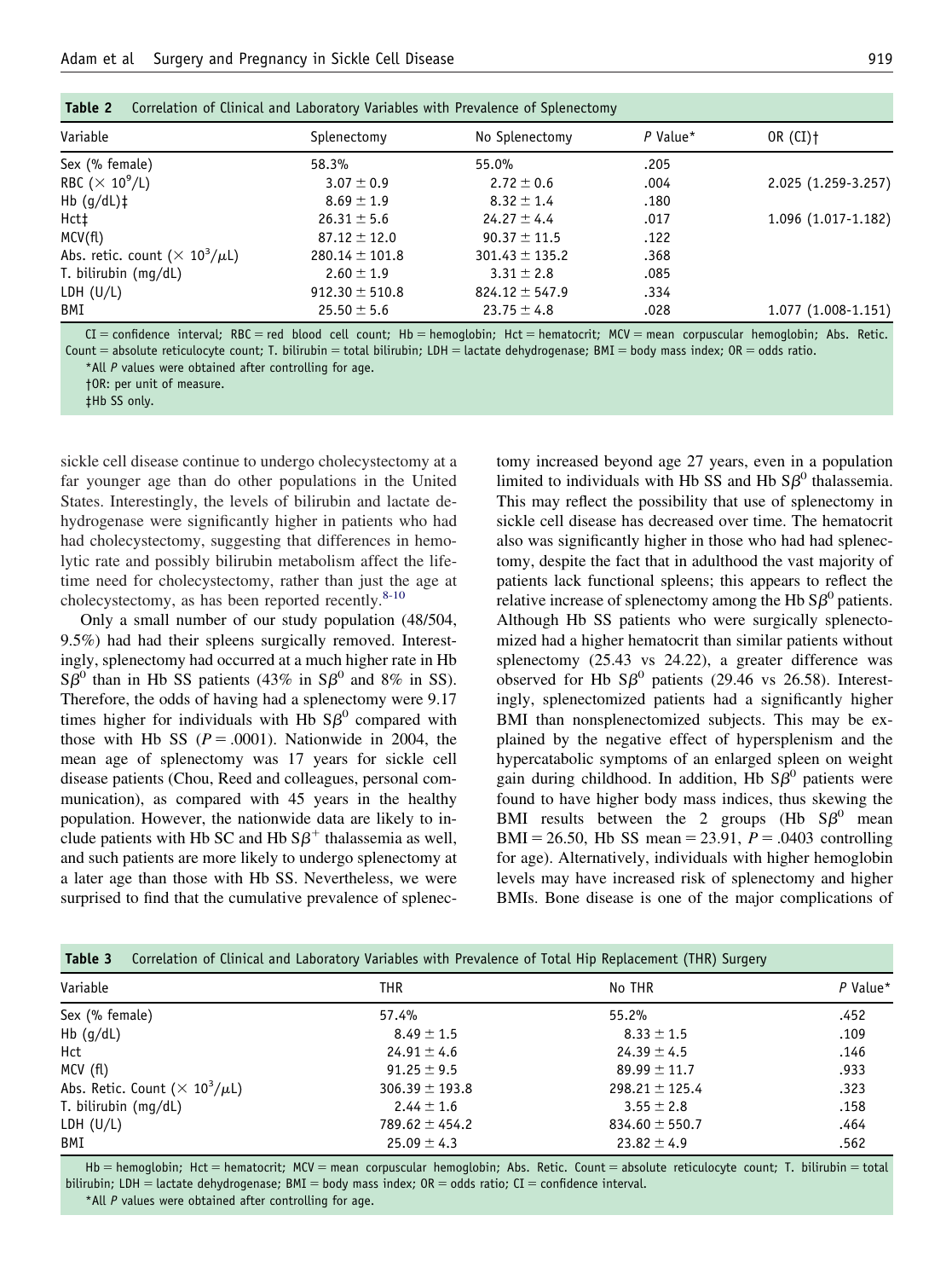| $\frac{1}{2}$ and $\frac{1}{2}$ are accepted to the contract with any contract in the contraction of optimization in the contract of the contract of the contract of the contract of the contract of the contract of the contract of |                    |                    |            |                        |  |  |  |
|--------------------------------------------------------------------------------------------------------------------------------------------------------------------------------------------------------------------------------------|--------------------|--------------------|------------|------------------------|--|--|--|
| Variable                                                                                                                                                                                                                             | Splenectomy        | No Splenectomy     | $P$ Value* | OR $(CI)$ <sup>+</sup> |  |  |  |
| Sex (% female)                                                                                                                                                                                                                       | 58.3%              | 55.0%              | .205       |                        |  |  |  |
| RBC ( $\times$ 10 <sup>9</sup> /L)                                                                                                                                                                                                   | $3.07 \pm 0.9$     | $2.72 \pm 0.6$     | .004       | 2.025 (1.259-3.257)    |  |  |  |
| $Hb$ (g/dL) $\ddagger$                                                                                                                                                                                                               | $8.69 \pm 1.9$     | $8.32 \pm 1.4$     | .180       |                        |  |  |  |
| Hct‡                                                                                                                                                                                                                                 | $26.31 \pm 5.6$    | $24.27 \pm 4.4$    | .017       | 1.096 (1.017-1.182)    |  |  |  |
| MCV(fl)                                                                                                                                                                                                                              | $87.12 \pm 12.0$   | $90.37 \pm 11.5$   | .122       |                        |  |  |  |
| Abs. retic. count $(\times 10^3/\mu L)$                                                                                                                                                                                              | $280.14 \pm 101.8$ | $301.43 \pm 135.2$ | .368       |                        |  |  |  |
| T. bilirubin (mg/dL)                                                                                                                                                                                                                 | $2.60 \pm 1.9$     | $3.31 \pm 2.8$     | .085       |                        |  |  |  |
| LDH $(U/L)$                                                                                                                                                                                                                          | $912.30 \pm 510.8$ | $824.12 \pm 547.9$ | .334       |                        |  |  |  |
| BMI                                                                                                                                                                                                                                  | $25.50 \pm 5.6$    | $23.75 \pm 4.8$    | .028       | 1.077 (1.008-1.151)    |  |  |  |
|                                                                                                                                                                                                                                      |                    |                    |            |                        |  |  |  |

<span id="page-3-0"></span>**Table 2** Correlation of Clinical and Laboratory Variables with Prevalence of Splenectomy

CI = confidence interval; RBC = red blood cell count; Hb = hemoglobin; Hct = hematocrit; MCV = mean corpuscular hemoglobin; Abs. Retic. Count = absolute reticulocyte count; T. bilirubin = total bilirubin; LDH = lactate dehydrogenase; BMI = body mass index; OR = odds ratio. \*All *P* values were obtained after controlling for age.

†OR: per unit of measure.

‡Hb SS only.

sickle cell disease continue to undergo cholecystectomy at a far younger age than do other populations in the United States. Interestingly, the levels of bilirubin and lactate dehydrogenase were significantly higher in patients who had had cholecystectomy, suggesting that differences in hemolytic rate and possibly bilirubin metabolism affect the lifetime need for cholecystectomy, rather than just the age at cholecystectomy, as has been reported recently.<sup>[8-10](#page-5-0)</sup>

Only a small number of our study population (48/504, 9.5%) had had their spleens surgically removed. Interestingly, splenectomy had occurred at a much higher rate in Hb  $S\beta^0$  than in Hb SS patients (43% in S $\beta^0$  and 8% in SS). Therefore, the odds of having had a splenectomy were 9.17 times higher for individuals with Hb  $S\beta^0$  compared with those with Hb SS  $(P = .0001)$ . Nationwide in 2004, the mean age of splenectomy was 17 years for sickle cell disease patients (Chou, Reed and colleagues, personal communication), as compared with 45 years in the healthy population. However, the nationwide data are likely to include patients with Hb SC and Hb  $\overline{SB}^+$  thalassemia as well, and such patients are more likely to undergo splenectomy at a later age than those with Hb SS. Nevertheless, we were surprised to find that the cumulative prevalence of splenec-

tomy increased beyond age 27 years, even in a population limited to individuals with Hb SS and Hb  $S\beta^0$  thalassemia. This may reflect the possibility that use of splenectomy in sickle cell disease has decreased over time. The hematocrit also was significantly higher in those who had had splenectomy, despite the fact that in adulthood the vast majority of patients lack functional spleens; this appears to reflect the relative increase of splenectomy among the Hb  $S\beta^0$  patients. Although Hb SS patients who were surgically splenectomized had a higher hematocrit than similar patients without splenectomy (25.43 vs 24.22), a greater difference was observed for Hb  $S\beta^0$  patients (29.46 vs 26.58). Interestingly, splenectomized patients had a significantly higher BMI than nonsplenectomized subjects. This may be explained by the negative effect of hypersplenism and the hypercatabolic symptoms of an enlarged spleen on weight gain during childhood. In addition, Hb  $S\beta^0$  patients were found to have higher body mass indices, thus skewing the BMI results between the 2 groups (Hb  $S\beta^0$  mean BMI = 26.50, Hb SS mean = 23.91,  $P = .0403$  controlling for age). Alternatively, individuals with higher hemoglobin levels may have increased risk of splenectomy and higher BMIs. Bone disease is one of the major complications of

| Table 3<br>Correlation of Clinical and Laboratory Variables with Prevalence of Total Hip Replacement (THR) Surgery |                    |                    |            |  |  |  |  |
|--------------------------------------------------------------------------------------------------------------------|--------------------|--------------------|------------|--|--|--|--|
| Variable                                                                                                           | THR                | No THR             | $P$ Value* |  |  |  |  |
| Sex (% female)                                                                                                     | 57.4%              | 55.2%              | .452       |  |  |  |  |
| $Hb$ (g/dL)                                                                                                        | $8.49 \pm 1.5$     | $8.33 \pm 1.5$     | .109       |  |  |  |  |
| Hct                                                                                                                | $24.91 \pm 4.6$    | $24.39 \pm 4.5$    | .146       |  |  |  |  |
| MCV (fl)                                                                                                           | $91.25 \pm 9.5$    | $89.99 \pm 11.7$   | .933       |  |  |  |  |
| Abs. Retic. Count ( $\times$ 10 <sup>3</sup> / $\mu$ L)                                                            | $306.39 \pm 193.8$ | $298.21 \pm 125.4$ | .323       |  |  |  |  |
| T. bilirubin (mg/dL)                                                                                               | $2.44 \pm 1.6$     | $3.55 \pm 2.8$     | .158       |  |  |  |  |
| LDH (U/L)                                                                                                          | 789.62 $\pm$ 454.2 | $834.60 \pm 550.7$ | .464       |  |  |  |  |
| BMI                                                                                                                | $25.09 \pm 4.3$    | $23.82 \pm 4.9$    | .562       |  |  |  |  |
|                                                                                                                    |                    |                    |            |  |  |  |  |

Hb = hemoglobin; Hct = hematocrit; MCV = mean corpuscular hemoglobin; Abs. Retic. Count = absolute reticulocyte count; T. bilirubin = total bilirubin; LDH = lactate dehydrogenase; BMI = body mass index;  $OR =$  odds ratio; CI = confidence interval.

\*All *P* values were obtained after controlling for age.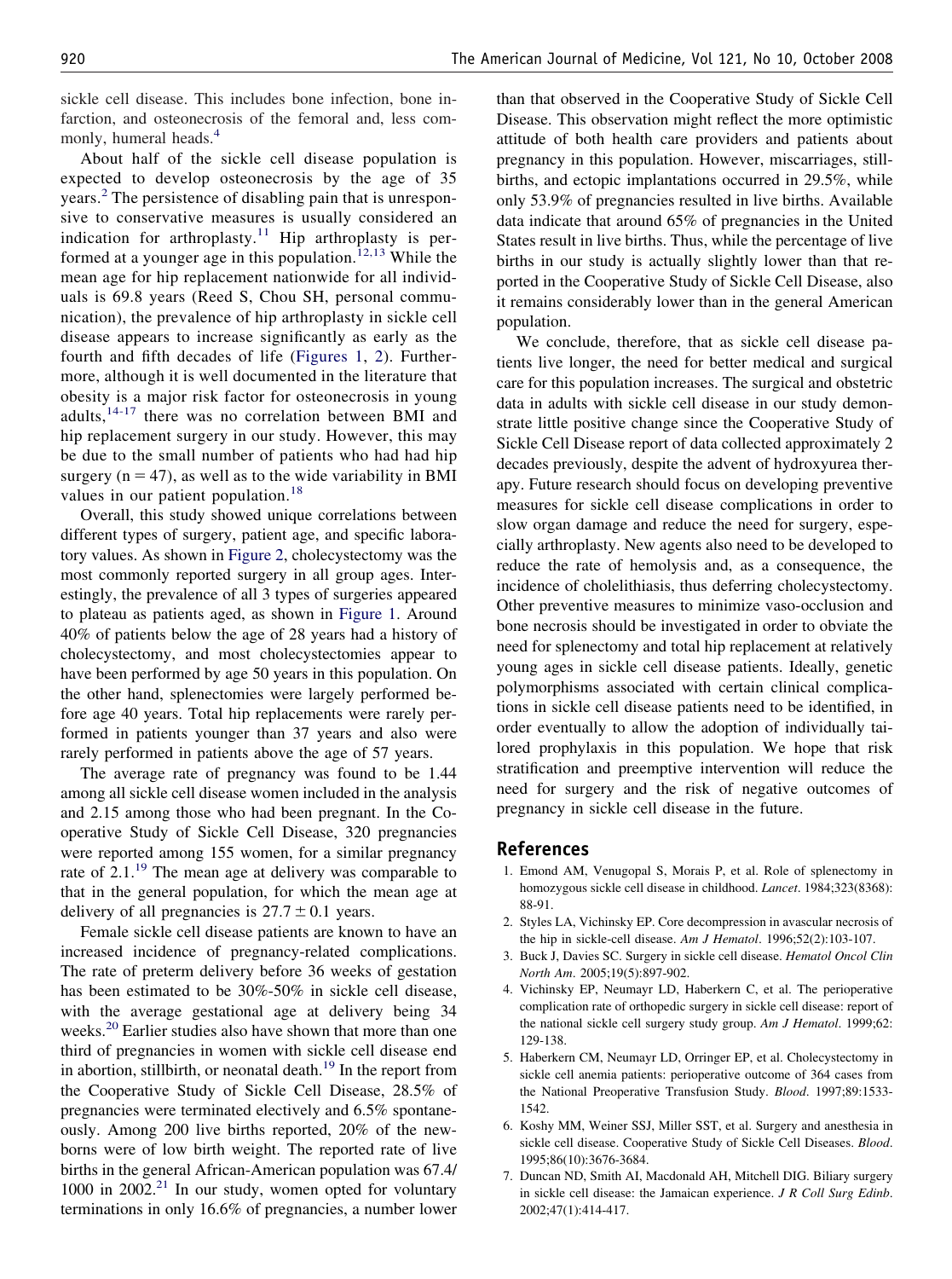<span id="page-4-0"></span>sickle cell disease. This includes bone infection, bone infarction, and osteonecrosis of the femoral and, less commonly, humeral heads.<sup>4</sup>

About half of the sickle cell disease population is expected to develop osteonecrosis by the age of 35 years.<sup>2</sup> The persistence of disabling pain that is unresponsive to conservative measures is usually considered an indication for arthroplasty.<sup>[11](#page-5-0)</sup> Hip arthroplasty is per-formed at a younger age in this population.<sup>[12,13](#page-5-0)</sup> While the mean age for hip replacement nationwide for all individuals is 69.8 years (Reed S, Chou SH, personal communication), the prevalence of hip arthroplasty in sickle cell disease appears to increase significantly as early as the fourth and fifth decades of life [\(Figures 1,](#page-1-0) [2\)](#page-2-0). Furthermore, although it is well documented in the literature that obesity is a major risk factor for osteonecrosis in young adults,[14-17](#page-5-0) there was no correlation between BMI and hip replacement surgery in our study. However, this may be due to the small number of patients who had had hip surgery  $(n = 47)$ , as well as to the wide variability in BMI values in our patient population.<sup>[18](#page-5-0)</sup>

Overall, this study showed unique correlations between different types of surgery, patient age, and specific laboratory values. As shown in [Figure 2,](#page-2-0) cholecystectomy was the most commonly reported surgery in all group ages. Interestingly, the prevalence of all 3 types of surgeries appeared to plateau as patients aged, as shown in [Figure 1.](#page-1-0) Around 40% of patients below the age of 28 years had a history of cholecystectomy, and most cholecystectomies appear to have been performed by age 50 years in this population. On the other hand, splenectomies were largely performed before age 40 years. Total hip replacements were rarely performed in patients younger than 37 years and also were rarely performed in patients above the age of 57 years.

The average rate of pregnancy was found to be 1.44 among all sickle cell disease women included in the analysis and 2.15 among those who had been pregnant. In the Cooperative Study of Sickle Cell Disease, 320 pregnancies were reported among 155 women, for a similar pregnancy rate of  $2.1<sup>19</sup>$  $2.1<sup>19</sup>$  $2.1<sup>19</sup>$ . The mean age at delivery was comparable to that in the general population, for which the mean age at delivery of all pregnancies is  $27.7 \pm 0.1$  years.

Female sickle cell disease patients are known to have an increased incidence of pregnancy-related complications. The rate of preterm delivery before 36 weeks of gestation has been estimated to be 30%-50% in sickle cell disease, with the average gestational age at delivery being 34 weeks.<sup>[20](#page-5-0)</sup> Earlier studies also have shown that more than one third of pregnancies in women with sickle cell disease end in abortion, stillbirth, or neonatal death. $19$  In the report from the Cooperative Study of Sickle Cell Disease, 28.5% of pregnancies were terminated electively and 6.5% spontaneously. Among 200 live births reported, 20% of the newborns were of low birth weight. The reported rate of live births in the general African-American population was 67.4/ 1000 in  $2002<sup>21</sup>$  $2002<sup>21</sup>$  $2002<sup>21</sup>$  In our study, women opted for voluntary terminations in only 16.6% of pregnancies, a number lower than that observed in the Cooperative Study of Sickle Cell Disease. This observation might reflect the more optimistic attitude of both health care providers and patients about pregnancy in this population. However, miscarriages, stillbirths, and ectopic implantations occurred in 29.5%, while only 53.9% of pregnancies resulted in live births. Available data indicate that around 65% of pregnancies in the United States result in live births. Thus, while the percentage of live births in our study is actually slightly lower than that reported in the Cooperative Study of Sickle Cell Disease, also it remains considerably lower than in the general American population.

We conclude, therefore, that as sickle cell disease patients live longer, the need for better medical and surgical care for this population increases. The surgical and obstetric data in adults with sickle cell disease in our study demonstrate little positive change since the Cooperative Study of Sickle Cell Disease report of data collected approximately 2 decades previously, despite the advent of hydroxyurea therapy. Future research should focus on developing preventive measures for sickle cell disease complications in order to slow organ damage and reduce the need for surgery, especially arthroplasty. New agents also need to be developed to reduce the rate of hemolysis and, as a consequence, the incidence of cholelithiasis, thus deferring cholecystectomy. Other preventive measures to minimize vaso-occlusion and bone necrosis should be investigated in order to obviate the need for splenectomy and total hip replacement at relatively young ages in sickle cell disease patients. Ideally, genetic polymorphisms associated with certain clinical complications in sickle cell disease patients need to be identified, in order eventually to allow the adoption of individually tailored prophylaxis in this population. We hope that risk stratification and preemptive intervention will reduce the need for surgery and the risk of negative outcomes of pregnancy in sickle cell disease in the future.

#### **References**

- 1. Emond AM, Venugopal S, Morais P, et al. Role of splenectomy in homozygous sickle cell disease in childhood. *Lancet*. 1984;323(8368): 88-91.
- 2. Styles LA, Vichinsky EP. Core decompression in avascular necrosis of the hip in sickle-cell disease. *Am J Hematol*. 1996;52(2):103-107.
- 3. Buck J, Davies SC. Surgery in sickle cell disease. *Hematol Oncol Clin North Am*. 2005;19(5):897-902.
- 4. Vichinsky EP, Neumayr LD, Haberkern C, et al. The perioperative complication rate of orthopedic surgery in sickle cell disease: report of the national sickle cell surgery study group. *Am J Hematol*. 1999;62: 129-138.
- 5. Haberkern CM, Neumayr LD, Orringer EP, et al. Cholecystectomy in sickle cell anemia patients: perioperative outcome of 364 cases from the National Preoperative Transfusion Study. *Blood*. 1997;89:1533- 1542.
- 6. Koshy MM, Weiner SSJ, Miller SST, et al. Surgery and anesthesia in sickle cell disease. Cooperative Study of Sickle Cell Diseases. *Blood*. 1995;86(10):3676-3684.
- 7. Duncan ND, Smith AI, Macdonald AH, Mitchell DIG. Biliary surgery in sickle cell disease: the Jamaican experience. *J R Coll Surg Edinb*. 2002;47(1):414-417.